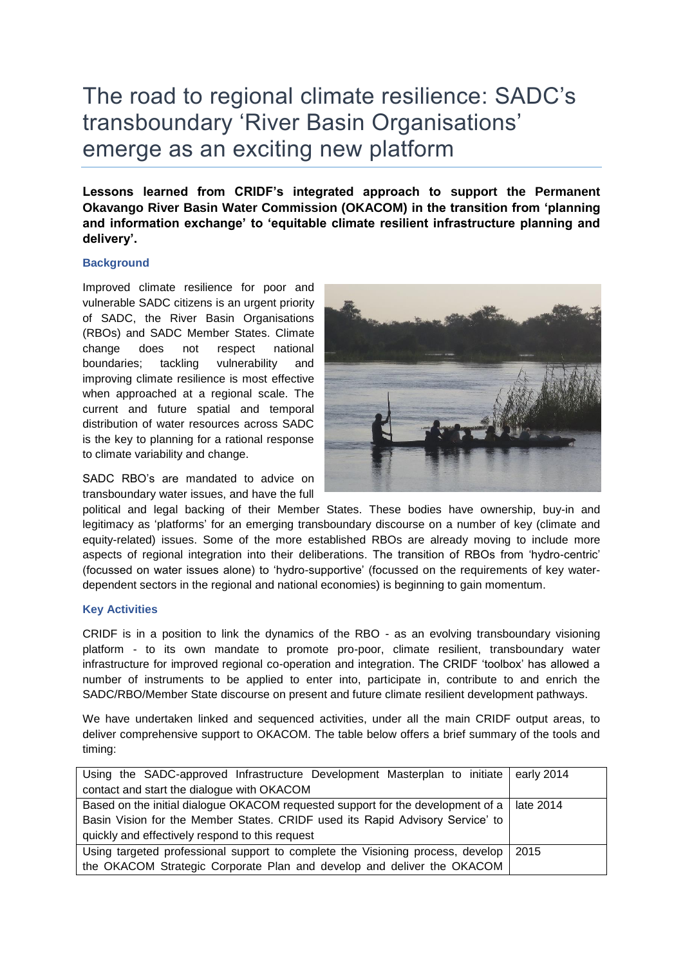## The road to regional climate resilience: SADC's transboundary 'River Basin Organisations' emerge as an exciting new platform

**Lessons learned from CRIDF's integrated approach to support the Permanent Okavango River Basin Water Commission (OKACOM) in the transition from 'planning and information exchange' to 'equitable climate resilient infrastructure planning and delivery'.**

## **Background**

Improved climate resilience for poor and vulnerable SADC citizens is an urgent priority of SADC, the River Basin Organisations (RBOs) and SADC Member States. Climate change does not respect national boundaries; tackling vulnerability and improving climate resilience is most effective when approached at a regional scale. The current and future spatial and temporal distribution of water resources across SADC is the key to planning for a rational response to climate variability and change.

SADC RBO's are mandated to advice on transboundary water issues, and have the full



political and legal backing of their Member States. These bodies have ownership, buy-in and legitimacy as 'platforms' for an emerging transboundary discourse on a number of key (climate and equity-related) issues. Some of the more established RBOs are already moving to include more aspects of regional integration into their deliberations. The transition of RBOs from 'hydro-centric' (focussed on water issues alone) to 'hydro-supportive' (focussed on the requirements of key waterdependent sectors in the regional and national economies) is beginning to gain momentum.

## **Key Activities**

CRIDF is in a position to link the dynamics of the RBO - as an evolving transboundary visioning platform - to its own mandate to promote pro-poor, climate resilient, transboundary water infrastructure for improved regional co-operation and integration. The CRIDF 'toolbox' has allowed a number of instruments to be applied to enter into, participate in, contribute to and enrich the SADC/RBO/Member State discourse on present and future climate resilient development pathways.

We have undertaken linked and sequenced activities, under all the main CRIDF output areas, to deliver comprehensive support to OKACOM. The table below offers a brief summary of the tools and timing:

| Using the SADC-approved Infrastructure Development Masterplan to initiate early 2014        |      |
|---------------------------------------------------------------------------------------------|------|
| contact and start the dialogue with OKACOM                                                  |      |
| Based on the initial dialogue OKACOM requested support for the development of a   late 2014 |      |
| Basin Vision for the Member States. CRIDF used its Rapid Advisory Service' to               |      |
| quickly and effectively respond to this request                                             |      |
| Using targeted professional support to complete the Visioning process, develop              | 2015 |
| the OKACOM Strategic Corporate Plan and develop and deliver the OKACOM                      |      |